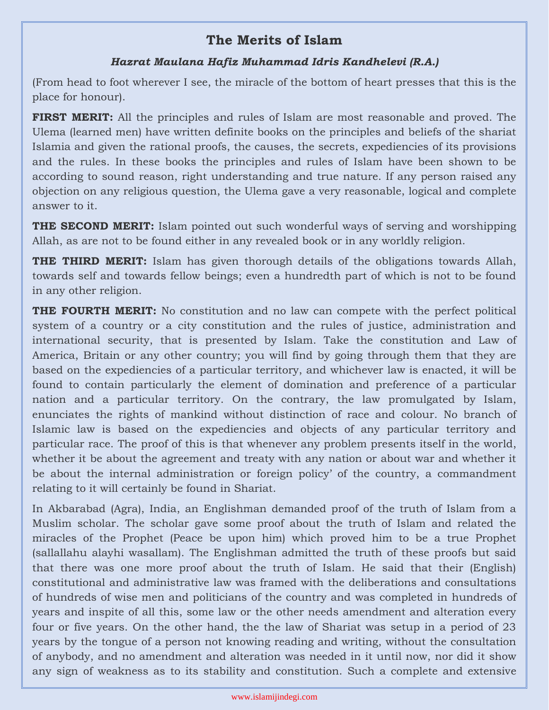## **The Merits of Islam**

## *Hazrat Maulana Hafiz Muhammad Idris Kandhelevi (R.A.)*

(From head to foot wherever I see, the miracle of the bottom of heart presses that this is the place for honour).

**FIRST MERIT:** All the principles and rules of Islam are most reasonable and proved. The Ulema (learned men) have written definite books on the principles and beliefs of the shariat Islamia and given the rational proofs, the causes, the secrets, expediencies of its provisions and the rules. In these books the principles and rules of Islam have been shown to be according to sound reason, right understanding and true nature. If any person raised any objection on any religious question, the Ulema gave a very reasonable, logical and complete answer to it.

**THE SECOND MERIT:** Islam pointed out such wonderful ways of serving and worshipping Allah, as are not to be found either in any revealed book or in any worldly religion.

**THE THIRD MERIT:** Islam has given thorough details of the obligations towards Allah, towards self and towards fellow beings; even a hundredth part of which is not to be found in any other religion.

**THE FOURTH MERIT:** No constitution and no law can compete with the perfect political system of a country or a city constitution and the rules of justice, administration and international security, that is presented by Islam. Take the constitution and Law of America, Britain or any other country; you will find by going through them that they are based on the expediencies of a particular territory, and whichever law is enacted, it will be found to contain particularly the element of domination and preference of a particular nation and a particular territory. On the contrary, the law promulgated by Islam, enunciates the rights of mankind without distinction of race and colour. No branch of Islamic law is based on the expediencies and objects of any particular territory and particular race. The proof of this is that whenever any problem presents itself in the world, whether it be about the agreement and treaty with any nation or about war and whether it be about the internal administration or foreign policy' of the country, a commandment relating to it will certainly be found in Shariat.

In Akbarabad (Agra), India, an Englishman demanded proof of the truth of Islam from a Muslim scholar. The scholar gave some proof about the truth of Islam and related the miracles of the Prophet (Peace be upon him) which proved him to be a true Prophet (sallallahu alayhi wasallam). The Englishman admitted the truth of these proofs but said that there was one more proof about the truth of Islam. He said that their (English) constitutional and administrative law was framed with the deliberations and consultations of hundreds of wise men and politicians of the country and was completed in hundreds of years and inspite of all this, some law or the other needs amendment and alteration every four or five years. On the other hand, the the law of Shariat was setup in a period of 23 years by the tongue of a person not knowing reading and writing, without the consultation of anybody, and no amendment and alteration was needed in it until now, nor did it show any sign of weakness as to its stability and constitution. Such a complete and extensive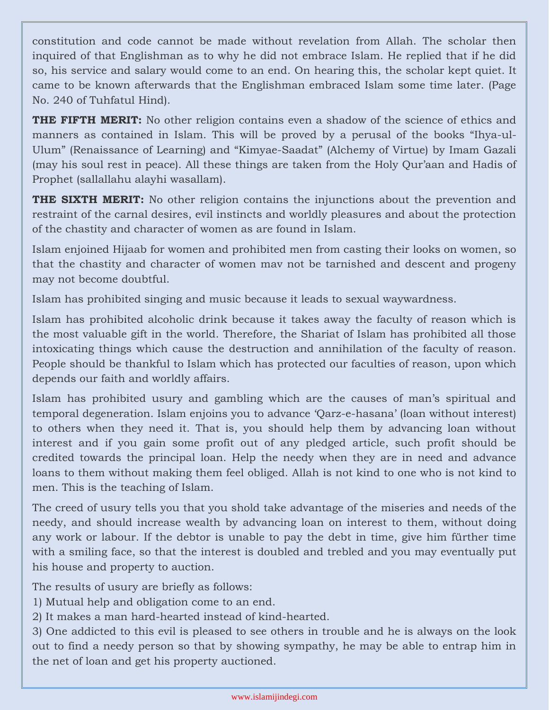constitution and code cannot be made without revelation from Allah. The scholar then inquired of that Englishman as to why he did not embrace Islam. He replied that if he did so, his service and salary would come to an end. On hearing this, the scholar kept quiet. It came to be known afterwards that the Englishman embraced Islam some time later. (Page No. 240 of Tuhfatul Hind).

**THE FIFTH MERIT:** No other religion contains even a shadow of the science of ethics and manners as contained in Islam. This will be proved by a perusal of the books "Ihya-ul-Ulum" (Renaissance of Learning) and "Kimyae-Saadat" (Alchemy of Virtue) by Imam Gazali (may his soul rest in peace). All these things are taken from the Holy Qur'aan and Hadis of Prophet (sallallahu alayhi wasallam).

**THE SIXTH MERIT:** No other religion contains the injunctions about the prevention and restraint of the carnal desires, evil instincts and worldly pleasures and about the protection of the chastity and character of women as are found in Islam.

Islam enjoined Hijaab for women and prohibited men from casting their looks on women, so that the chastity and character of women mav not be tarnished and descent and progeny may not become doubtful.

Islam has prohibited singing and music because it leads to sexual waywardness.

Islam has prohibited alcoholic drink because it takes away the faculty of reason which is the most valuable gift in the world. Therefore, the Shariat of Islam has prohibited all those intoxicating things which cause the destruction and annihilation of the faculty of reason. People should be thankful to Islam which has protected our faculties of reason, upon which depends our faith and worldly affairs.

Islam has prohibited usury and gambling which are the causes of man's spiritual and temporal degeneration. Islam enjoins you to advance 'Qarz-e-hasana' (loan without interest) to others when they need it. That is, you should help them by advancing loan without interest and if you gain some profit out of any pledged article, such profit should be credited towards the principal loan. Help the needy when they are in need and advance loans to them without making them feel obliged. Allah is not kind to one who is not kind to men. This is the teaching of Islam.

The creed of usury tells you that you shold take advantage of the miseries and needs of the needy, and should increase wealth by advancing loan on interest to them, without doing any work or labour. If the debtor is unable to pay the debt in time, give him fürther time with a smiling face, so that the interest is doubled and trebled and you may eventually put his house and property to auction.

The results of usury are briefly as follows:

- 1) Mutual help and obligation come to an end.
- 2) It makes a man hard-hearted instead of kind-hearted.

3) One addicted to this evil is pleased to see others in trouble and he is always on the look out to find a needy person so that by showing sympathy, he may be able to entrap him in the net of loan and get his property auctioned.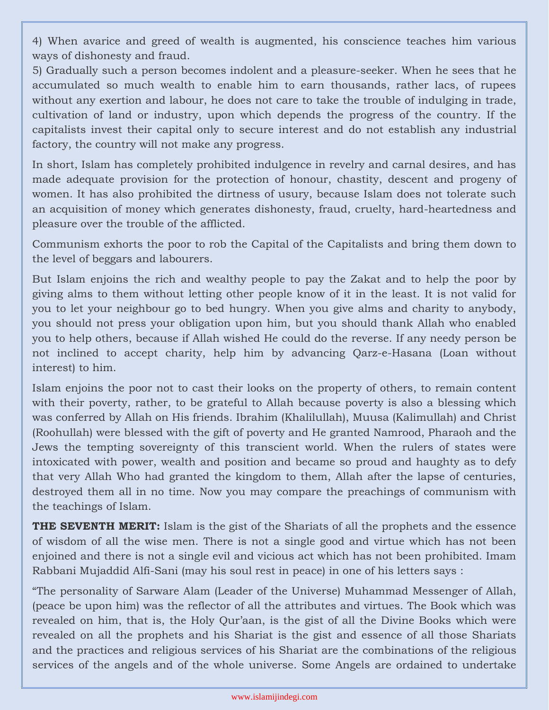4) When avarice and greed of wealth is augmented, his conscience teaches him various ways of dishonesty and fraud.

5) Gradually such a person becomes indolent and a pleasure-seeker. When he sees that he accumulated so much wealth to enable him to earn thousands, rather lacs, of rupees without any exertion and labour, he does not care to take the trouble of indulging in trade, cultivation of land or industry, upon which depends the progress of the country. If the capitalists invest their capital only to secure interest and do not establish any industrial factory, the country will not make any progress.

In short, Islam has completely prohibited indulgence in revelry and carnal desires, and has made adequate provision for the protection of honour, chastity, descent and progeny of women. It has also prohibited the dirtness of usury, because Islam does not tolerate such an acquisition of money which generates dishonesty, fraud, cruelty, hard-heartedness and pleasure over the trouble of the afflicted.

Communism exhorts the poor to rob the Capital of the Capitalists and bring them down to the level of beggars and labourers.

But Islam enjoins the rich and wealthy people to pay the Zakat and to help the poor by giving alms to them without letting other people know of it in the least. It is not valid for you to let your neighbour go to bed hungry. When you give alms and charity to anybody, you should not press your obligation upon him, but you should thank Allah who enabled you to help others, because if Allah wished He could do the reverse. If any needy person be not inclined to accept charity, help him by advancing Qarz-e-Hasana (Loan without interest) to him.

Islam enjoins the poor not to cast their looks on the property of others, to remain content with their poverty, rather, to be grateful to Allah because poverty is also a blessing which was conferred by Allah on His friends. Ibrahim (Khalilullah), Muusa (Kalimullah) and Christ (Roohullah) were blessed with the gift of poverty and He granted Namrood, Pharaoh and the Jews the tempting sovereignty of this transcient world. When the rulers of states were intoxicated with power, wealth and position and became so proud and haughty as to defy that very Allah Who had granted the kingdom to them, Allah after the lapse of centuries, destroyed them all in no time. Now you may compare the preachings of communism with the teachings of Islam.

**THE SEVENTH MERIT:** Islam is the gist of the Shariats of all the prophets and the essence of wisdom of all the wise men. There is not a single good and virtue which has not been enjoined and there is not a single evil and vicious act which has not been prohibited. Imam Rabbani Mujaddid Alfi-Sani (may his soul rest in peace) in one of his letters says :

"The personality of Sarware Alam (Leader of the Universe) Muhammad Messenger of Allah, (peace be upon him) was the reflector of all the attributes and virtues. The Book which was revealed on him, that is, the Holy Qur'aan, is the gist of all the Divine Books which were revealed on all the prophets and his Shariat is the gist and essence of all those Shariats and the practices and religious services of his Shariat are the combinations of the religious services of the angels and of the whole universe. Some Angels are ordained to undertake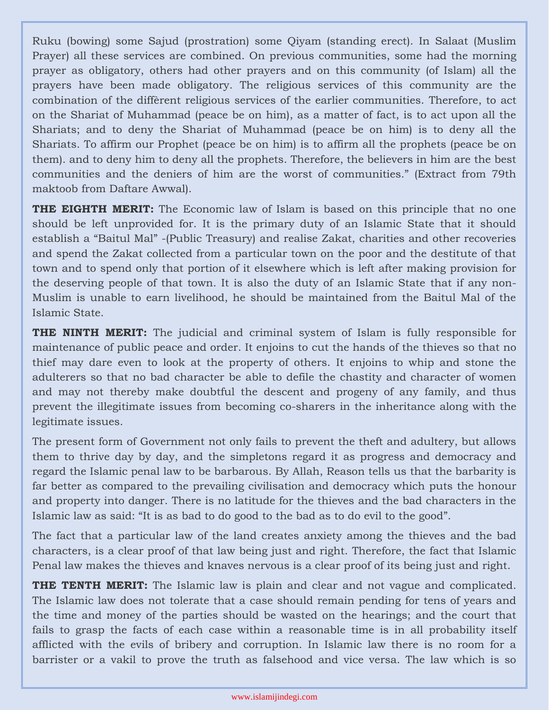Ruku (bowing) some Sajud (prostration) some Qiyam (standing erect). In Salaat (Muslim Prayer) all these services are combined. On previous communities, some had the morning prayer as obligatory, others had other prayers and on this community (of Islam) all the prayers have been made obligatory. The religious services of this community are the combination of the diffèrent religious services of the earlier communities. Therefore, to act on the Shariat of Muhammad (peace be on him), as a matter of fact, is to act upon all the Shariats; and to deny the Shariat of Muhammad (peace be on him) is to deny all the Shariats. To affirm our Prophet (peace be on him) is to affirm all the prophets (peace be on them). and to deny him to deny all the prophets. Therefore, the believers in him are the best communities and the deniers of him are the worst of communities." (Extract from 79th maktoob from Daftare Awwal).

**THE EIGHTH MERIT:** The Economic law of Islam is based on this principle that no one should be left unprovided for. It is the primary duty of an Islamic State that it should establish a "Baitul Mal" -(Public Treasury) and realise Zakat, charities and other recoveries and spend the Zakat collected from a particular town on the poor and the destitute of that town and to spend only that portion of it elsewhere which is left after making provision for the deserving people of that town. It is also the duty of an Islamic State that if any non-Muslim is unable to earn livelihood, he should be maintained from the Baitul Mal of the Islamic State.

**THE NINTH MERIT:** The judicial and criminal system of Islam is fully responsible for maintenance of public peace and order. It enjoins to cut the hands of the thieves so that no thief may dare even to look at the property of others. It enjoins to whip and stone the adulterers so that no bad character be able to defile the chastity and character of women and may not thereby make doubtful the descent and progeny of any family, and thus prevent the illegitimate issues from becoming co-sharers in the inheritance along with the legitimate issues.

The present form of Government not only fails to prevent the theft and adultery, but allows them to thrive day by day, and the simpletons regard it as progress and democracy and regard the Islamic penal law to be barbarous. By Allah, Reason tells us that the barbarity is far better as compared to the prevailing civilisation and democracy which puts the honour and property into danger. There is no latitude for the thieves and the bad characters in the Islamic law as said: "It is as bad to do good to the bad as to do evil to the good".

The fact that a particular law of the land creates anxiety among the thieves and the bad characters, is a clear proof of that law being just and right. Therefore, the fact that Islamic Penal law makes the thieves and knaves nervous is a clear proof of its being just and right.

**THE TENTH MERIT:** The Islamic law is plain and clear and not vague and complicated. The Islamic law does not tolerate that a case should remain pending for tens of years and the time and money of the parties should be wasted on the hearings; and the court that fails to grasp the facts of each case within a reasonable time is in all probability itself afflicted with the evils of bribery and corruption. In Islamic law there is no room for a barrister or a vakil to prove the truth as falsehood and vice versa. The law which is so